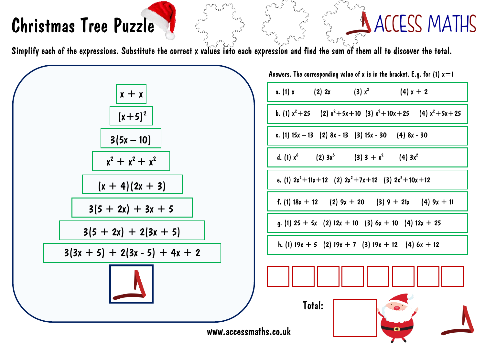## Christmas Tree Puzzle

## A ACCESS MATHS

 $(4) x + 2$ 

 $(4)$  3x<sup>2</sup>

 $\mathbf{H}$  and  $\mathbf{H}$  and  $\mathbf{H}$  and  $\mathbf{H}$ 

 $(3) x<sup>2</sup>$ 

Simplify each of the expressions. Substitute the correct x values into each expression and find the sum of them all to discover the total.